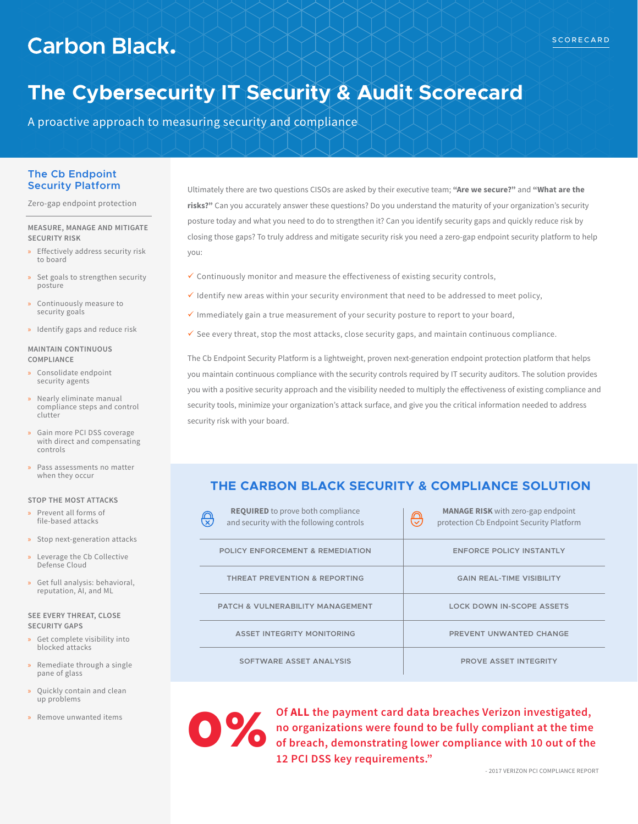# **Carbon Black.**

# **The Cybersecurity IT Security & Audit Scorecard**

A proactive approach to measuring security and compliance

### **The Cb Endpoint Security Platform**

Zero-gap endpoint protection

#### **MEASURE, MANAGE AND MITIGATE SECURITY RISK**

- » Effectively address security risk to board
- » Set goals to strengthen security posture
- » Continuously measure to security goals
- » Identify gaps and reduce risk

#### **MAINTAIN CONTINUOUS COMPLIANCE**

- » Consolidate endpoint security agents
- » Nearly eliminate manual compliance steps and control clutter
- » Gain more PCI DSS coverage with direct and compensating controls
- » Pass assessments no matter when they occur

#### **STOP THE MOST ATTACKS**

- » Prevent all forms of file-based attacks
- » Stop next-generation attacks
- » Leverage the Cb Collective Defense Cloud
- » Get full analysis: behavioral, reputation, AI, and ML

#### **SEE EVERY THREAT, CLOSE SECURITY GAPS**

- » Get complete visibility into blocked attacks
- » Remediate through a single pane of glass
- » Quickly contain and clean up problems
- » Remove unwanted items

Ultimately there are two questions CISOs are asked by their executive team; **"Are we secure?"** and **"What are the risks?"** Can you accurately answer these questions? Do you understand the maturity of your organization's security posture today and what you need to do to strengthen it? Can you identify security gaps and quickly reduce risk by closing those gaps? To truly address and mitigate security risk you need a zero-gap endpoint security platform to help you:

- $\checkmark$  Continuously monitor and measure the effectiveness of existing security controls,
- $\checkmark$  Identify new areas within your security environment that need to be addressed to meet policy,
- $\checkmark$  Immediately gain a true measurement of your security posture to report to your board,
- $\checkmark$  See every threat, stop the most attacks, close security gaps, and maintain continuous compliance.

The Cb Endpoint Security Platform is a lightweight, proven next-generation endpoint protection platform that helps you maintain continuous compliance with the security controls required by IT security auditors. The solution provides you with a positive security approach and the visibility needed to multiply the effectiveness of existing compliance and security tools, minimize your organization's attack surface, and give you the critical information needed to address security risk with your board.

# **THE CARBON BLACK SECURITY & COMPLIANCE SOLUTION**

| <b>REQUIRED</b> to prove both compliance<br><u>ල</u><br>and security with the following controls | <b>MANAGE RISK</b> with zero-gap endpoint<br>℗<br>protection Cb Endpoint Security Platform |
|--------------------------------------------------------------------------------------------------|--------------------------------------------------------------------------------------------|
| <b>POLICY ENFORCEMENT &amp; REMEDIATION</b>                                                      | <b>ENFORCE POLICY INSTANTLY</b>                                                            |
| <b>THREAT PREVENTION &amp; REPORTING</b>                                                         | <b>GAIN REAL-TIME VISIBILITY</b>                                                           |
| <b>PATCH &amp; VULNERABILITY MANAGEMENT</b>                                                      | <b>LOCK DOWN IN-SCOPE ASSETS</b>                                                           |
| <b>ASSET INTEGRITY MONITORING</b>                                                                | PREVENT UNWANTED CHANGE                                                                    |
| SOFTWARE ASSET ANALYSIS                                                                          | <b>PROVE ASSET INTEGRITY</b>                                                               |

0%

**Of ALL the payment card data breaches Verizon investigated, no organizations were found to be fully compliant at the time of breach, demonstrating lower compliance with 10 out of the 12 PCI DSS key requirements."**